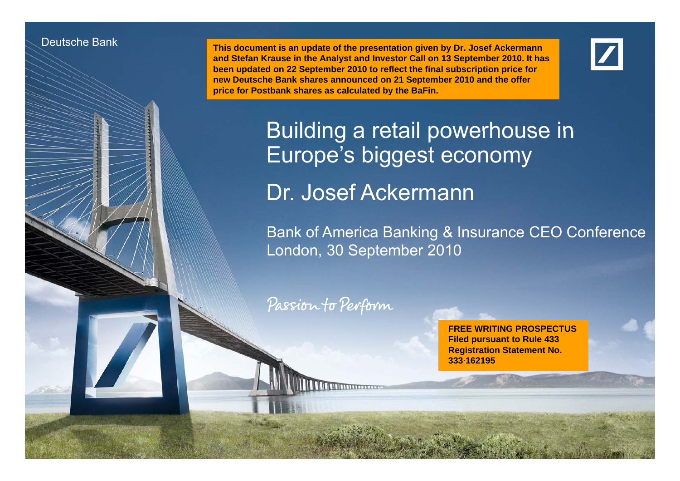#### Deutsche Bank

Deutsche Bank und deutsche Investor Relations

 **This document is an update of the presentation given by Dr. Josef Ackermann and Stefan Krause in the Analyst and Investor Call on 13 September 2010. It has been updated on 22 September 2010 to reflect the final subscription price for**  new Deutsche Bank shares announced on 21 September 2010 and the offer **price for Postbank shares as calculated by the BaFin.**

Building <sup>a</sup> retail powerhouse in Europe's biggest economy Dr. Josef Ackermann

Bank of America Banking & Insurance CEO Conference London, 30 September 2010

Passion to Perform

Dr. Josef Ackermann30 September 2010

**FREE WRITING PROSPECTUSFiled pursuant to Rule 433 Registration Statement No. 333·162195**

final transport of the second transparency. 1999 and the second transport of the second transparency.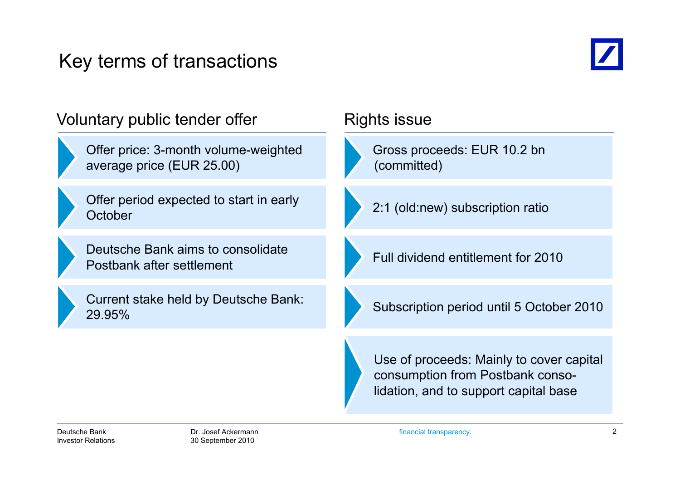# Key terms of transactions



| Voluntary public tender offer                                     | Rights issue                                                                                                          |  |
|-------------------------------------------------------------------|-----------------------------------------------------------------------------------------------------------------------|--|
| Offer price: 3-month volume-weighted<br>average price (EUR 25.00) | Gross proceeds: EUR 10.2 bn<br>(committed)                                                                            |  |
| Offer period expected to start in early<br>October                | 2:1 (old:new) subscription ratio                                                                                      |  |
| Deutsche Bank aims to consolidate<br>Postbank after settlement    | Full dividend entitlement for 2010                                                                                    |  |
| Current stake held by Deutsche Bank:<br>29.95%                    | Subscription period until 5 October 2010                                                                              |  |
|                                                                   | Use of proceeds: Mainly to cover capital<br>consumption from Postbank conso-<br>lidation, and to support capital base |  |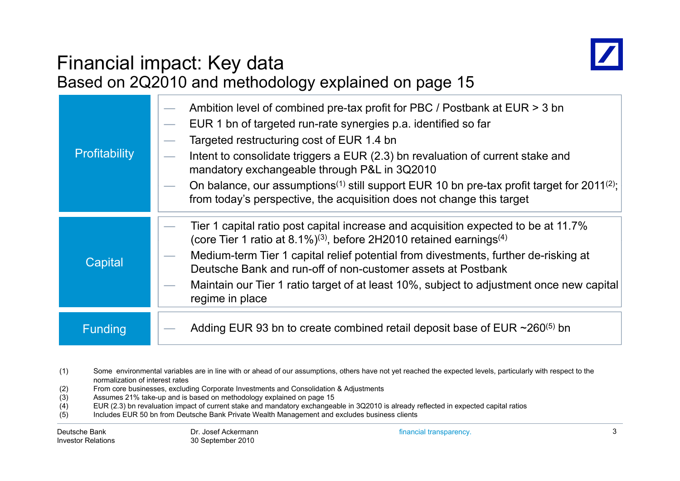

# Financial impact: Key data

|                | Based on 2Q2010 and methodology explained on page 15                                                                                                                                                                                                                                                                                                                                                                                                                                                                       |
|----------------|----------------------------------------------------------------------------------------------------------------------------------------------------------------------------------------------------------------------------------------------------------------------------------------------------------------------------------------------------------------------------------------------------------------------------------------------------------------------------------------------------------------------------|
| Profitability  | Ambition level of combined pre-tax profit for PBC / Postbank at EUR > 3 bn<br>EUR 1 bn of targeted run-rate synergies p.a. identified so far<br>Targeted restructuring cost of EUR 1.4 bn<br>Intent to consolidate triggers a EUR (2.3) bn revaluation of current stake and<br>mandatory exchangeable through P&L in 3Q2010<br>On balance, our assumptions <sup>(1)</sup> still support EUR 10 bn pre-tax profit target for 2011 <sup>(2)</sup> ;<br>from today's perspective, the acquisition does not change this target |
| Capital        | Tier 1 capital ratio post capital increase and acquisition expected to be at 11.7%<br>(core Tier 1 ratio at 8.1%) <sup>(3)</sup> , before 2H2010 retained earnings <sup>(4)</sup><br>Medium-term Tier 1 capital relief potential from divestments, further de-risking at<br>Deutsche Bank and run-off of non-customer assets at Postbank<br>Maintain our Tier 1 ratio target of at least 10%, subject to adjustment once new capital<br>regime in place                                                                    |
| <b>Funding</b> | Adding EUR 93 bn to create combined retail deposit base of EUR $\sim$ 260 <sup>(5)</sup> bn                                                                                                                                                                                                                                                                                                                                                                                                                                |

- (1) Some environmental variables are in line with or ahead of our assumptions, others have not yet reached the expected levels, particularly with respect to the normalization of interest rates
- (2) From core businesses, excluding Corporate Investments and Consolidation & Adjustments
- Assumes 21% take-up and is based on methodology explained on page 15
- (4) EUR (2.3) bn revaluation impact of current stake and mandatory exchangeable in 3Q2010 is already reflected in expected capital ratios
- (5) Includes EUR 50 bn from Deutsche Bank Private Wealth Management and excludes business clients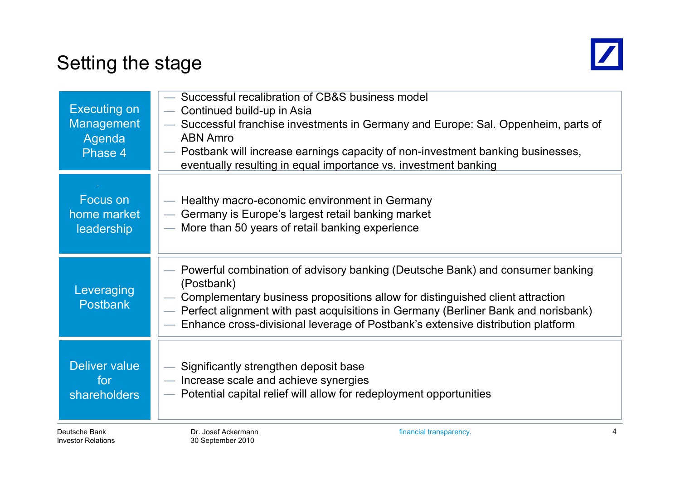# Setting the stage



| <b>Executing on</b><br><b>Management</b><br>Agenda<br>Phase 4 | Successful recalibration of CB&S business model<br>- Continued build-up in Asia<br>Successful franchise investments in Germany and Europe: Sal. Oppenheim, parts of<br><b>ABN Amro</b><br>— Postbank will increase earnings capacity of non-investment banking businesses,<br>eventually resulting in equal importance vs. investment banking          |
|---------------------------------------------------------------|--------------------------------------------------------------------------------------------------------------------------------------------------------------------------------------------------------------------------------------------------------------------------------------------------------------------------------------------------------|
| Focus on                                                      | — Healthy macro-economic environment in Germany                                                                                                                                                                                                                                                                                                        |
| home market                                                   | Germany is Europe's largest retail banking market                                                                                                                                                                                                                                                                                                      |
| <b>leadership</b>                                             | - More than 50 years of retail banking experience                                                                                                                                                                                                                                                                                                      |
| Leveraging<br><b>Postbank</b>                                 | Powerful combination of advisory banking (Deutsche Bank) and consumer banking<br>(Postbank)<br>Complementary business propositions allow for distinguished client attraction<br>- Perfect alignment with past acquisitions in Germany (Berliner Bank and norisbank)<br>Enhance cross-divisional leverage of Postbank's extensive distribution platform |
| Deliver value                                                 | Significantly strengthen deposit base                                                                                                                                                                                                                                                                                                                  |
| for                                                           | - Increase scale and achieve synergies                                                                                                                                                                                                                                                                                                                 |
| <b>shareholders</b>                                           | - Potential capital relief will allow for redeployment opportunities                                                                                                                                                                                                                                                                                   |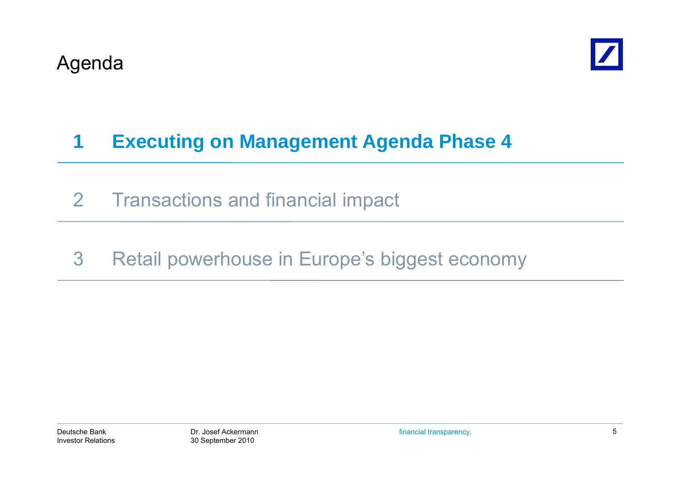

# **1 Executing on Management Agenda Phase 4**

- 2 Transactions and financial impact
- 3 Retail powerhouse in Europe's biggest economy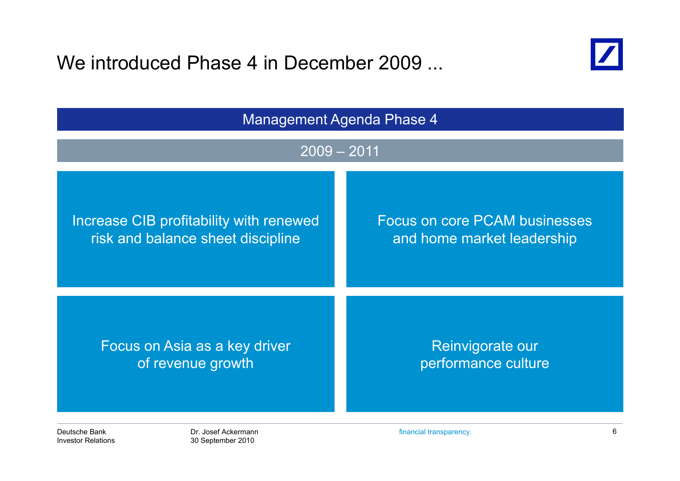We introduced Phase 4 in December 2009 ...



| <b>Management Agenda Phase 4</b>        |                                      |  |  |
|-----------------------------------------|--------------------------------------|--|--|
| $2009 - 2011$                           |                                      |  |  |
| Increase CIB profitability with renewed | <b>Focus on core PCAM businesses</b> |  |  |
| risk and balance sheet discipline       | and home market leadership           |  |  |
| Focus on Asia as a key driver           | Reinvigorate our                     |  |  |
| of revenue growth                       | performance culture                  |  |  |
| Deutsche Bank                           | 6                                    |  |  |
| Dr. Josef Ackermann                     | financial transparency.              |  |  |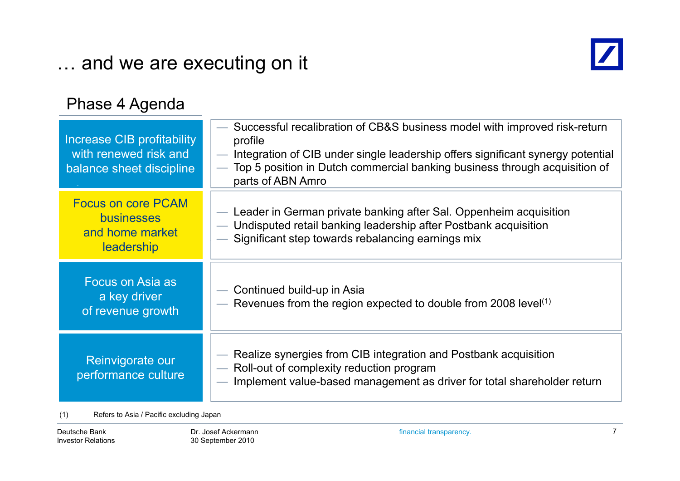# … and we are executing on it



### Phase 4 Agenda

| <b>Increase CIB profitability</b><br>with renewed risk and<br>balance sheet discipline | Successful recalibration of CB&S business model with improved risk-return<br>profile<br>Integration of CIB under single leadership offers significant synergy potential<br>Top 5 position in Dutch commercial banking business through acquisition of<br>parts of ABN Amro |
|----------------------------------------------------------------------------------------|----------------------------------------------------------------------------------------------------------------------------------------------------------------------------------------------------------------------------------------------------------------------------|
| <b>Focus on core PCAM</b><br><b>businesses</b><br>and home market<br>leadership        | - Leader in German private banking after Sal. Oppenheim acquisition<br>— Undisputed retail banking leadership after Postbank acquisition<br>- Significant step towards rebalancing earnings mix                                                                            |
| Focus on Asia as<br>a key driver<br>of revenue growth                                  | Continued build-up in Asia<br>Revenues from the region expected to double from 2008 level <sup>(1)</sup>                                                                                                                                                                   |
| Reinvigorate our<br>performance culture                                                | Realize synergies from CIB integration and Postbank acquisition<br>Roll-out of complexity reduction program<br>$\overline{\phantom{a}}$<br>- Implement value-based management as driver for total shareholder return                                                       |

(1) Refers to Asia / Pacific excluding Japan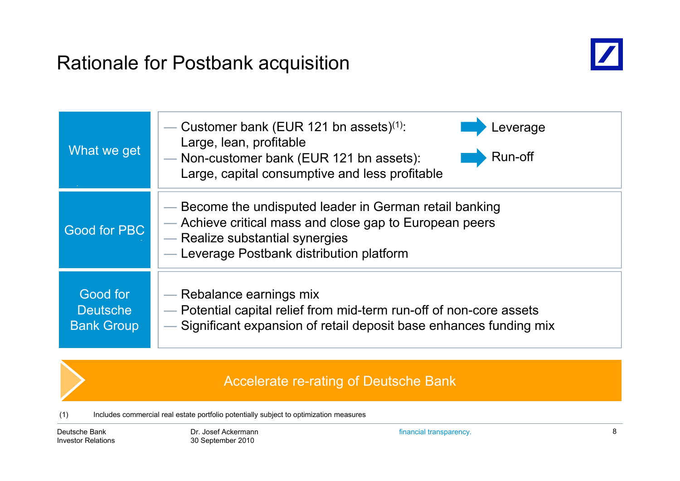# Rationale for Postbank acquisition



| What we get                                      | Customer bank (EUR 121 bn assets) $(1)$ :<br>_everage<br>Large, lean, profitable<br>Run-off<br>- Non-customer bank (EUR 121 bn assets):<br>Large, capital consumptive and less profitable          |
|--------------------------------------------------|----------------------------------------------------------------------------------------------------------------------------------------------------------------------------------------------------|
| Good for PBC                                     | — Become the undisputed leader in German retail banking<br>- Achieve critical mass and close gap to European peers<br>- Realize substantial synergies<br>- Leverage Postbank distribution platform |
| Good for<br><b>Deutsche</b><br><b>Bank Group</b> | — Rebalance earnings mix<br>- Potential capital relief from mid-term run-off of non-core assets<br>— Significant expansion of retail deposit base enhances funding mix                             |

#### Accelerate re-rating of Deutsche Bank

(1) Includes commercial real estate portfolio potentially subject to optimization measures

Deutsche BankInvestor Relations financial transparency. 8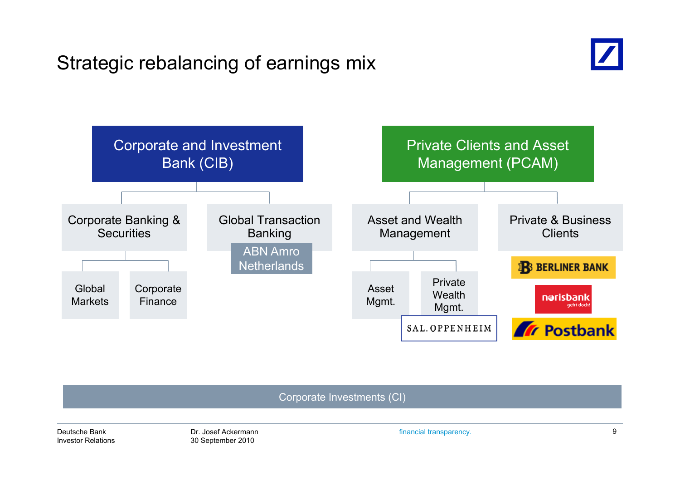# Strategic rebalancing of earnings mix





Corporate Investments (CI)

Deutsche BankInvestor Relations financial transparency. 9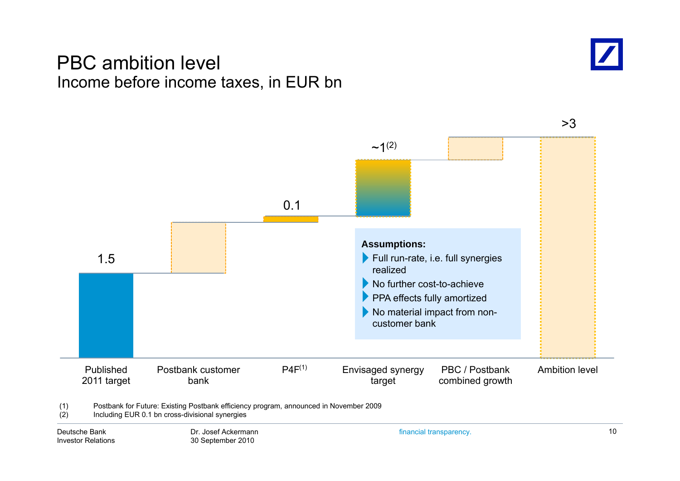### PBC ambition level Income before income taxes, in EUR bn



>3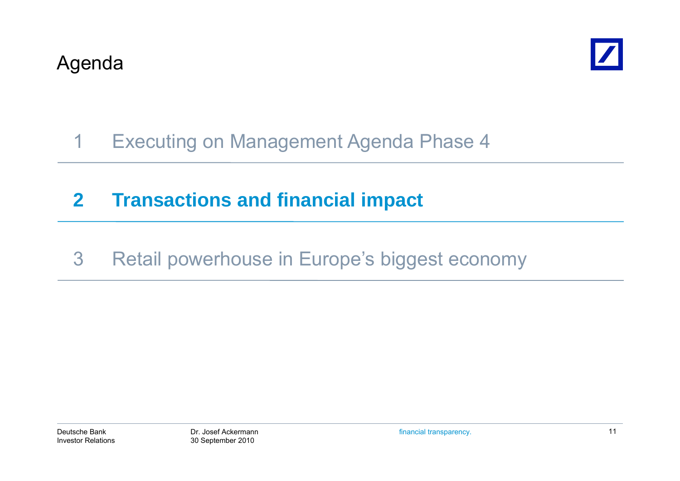

# 1 Executing on Management Agenda Phase 4

# **2 Transactions and financial impact**

3 Retail powerhouse in Europe's biggest economy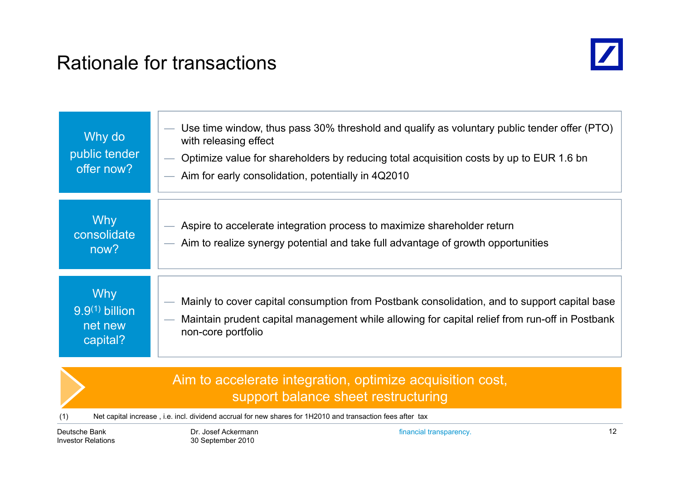# Rationale for transactions



| Why do<br>public tender<br>offer now?                 | Use time window, thus pass 30% threshold and qualify as voluntary public tender offer (PTO)<br>with releasing effect<br>Optimize value for shareholders by reducing total acquisition costs by up to EUR 1.6 bn<br>Aim for early consolidation, potentially in 4Q2010 |
|-------------------------------------------------------|-----------------------------------------------------------------------------------------------------------------------------------------------------------------------------------------------------------------------------------------------------------------------|
| <b>Why</b><br>consolidate<br>now?                     | Aspire to accelerate integration process to maximize shareholder return<br>- Aim to realize synergy potential and take full advantage of growth opportunities                                                                                                         |
| <b>Why</b><br>$9.9(1)$ billion<br>net new<br>capital? | Mainly to cover capital consumption from Postbank consolidation, and to support capital base<br>Maintain prudent capital management while allowing for capital relief from run-off in Postbank<br>non-core portfolio                                                  |

#### Aim to accelerate integration, optimize acquisition cost, support balance sheet restructuring

(1) Net capital increase , i.e. incl. dividend accrual for new shares for 1H2010 and transaction fees after tax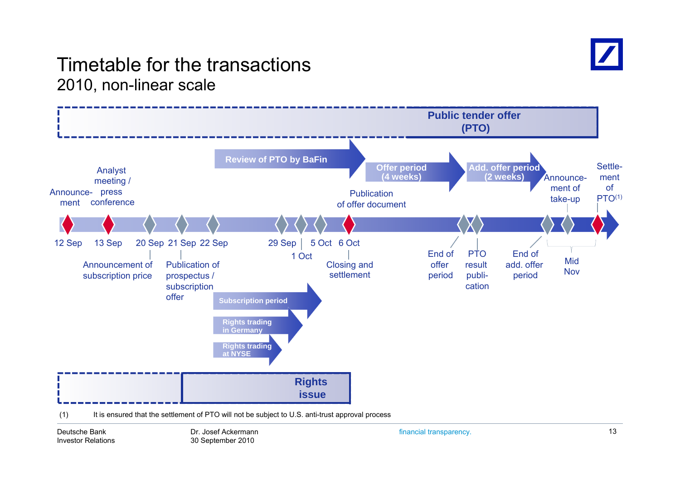

### Timetable for the transactions2010, non-linear scale



Deutsche BankInvestor Relations financial transparency. 13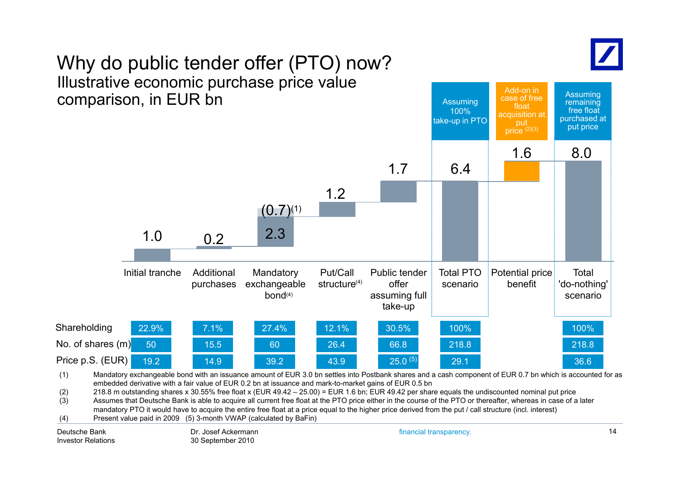

Assuming

Add-on in

# Why do public tender offer (PTO) now? Illustrative economic purchase price value



(3)  $\hspace{1cm}$  Assumes that Deutsche Bank is able to acquire all current free float at the PTO price either in the course of the PTO or thereafter, whereas in case of a later

mandatory PTO it would have to acquire the entire free float at a price equal to the higher price derived from the put / call structure (incl. interest)

(4) Present value paid in 2009 (5) 3-month VWAP (calculated by BaFin)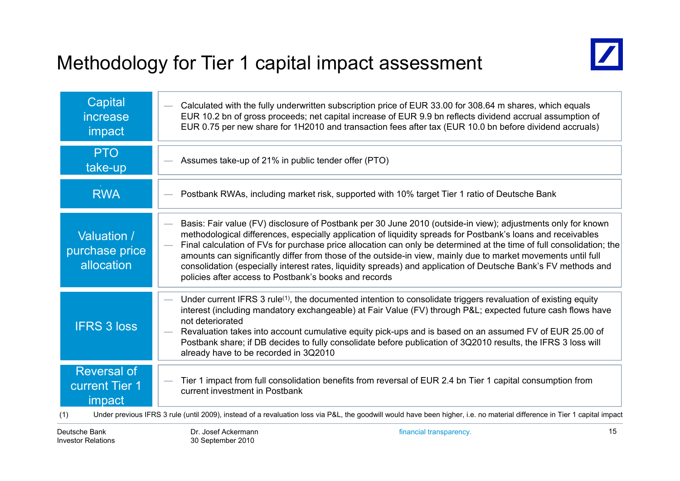# Methodology for Tier 1 capital impact assessment



| Capital<br>increase<br>impact                         | Calculated with the fully underwritten subscription price of EUR 33.00 for 308.64 m shares, which equals<br>EUR 10.2 bn of gross proceeds; net capital increase of EUR 9.9 bn reflects dividend accrual assumption of<br>EUR 0.75 per new share for 1H2010 and transaction fees after tax (EUR 10.0 bn before dividend accruals)                                                                                                                                                                                                                                                                                                                      |
|-------------------------------------------------------|-------------------------------------------------------------------------------------------------------------------------------------------------------------------------------------------------------------------------------------------------------------------------------------------------------------------------------------------------------------------------------------------------------------------------------------------------------------------------------------------------------------------------------------------------------------------------------------------------------------------------------------------------------|
| <b>PTO</b><br>take-up                                 | Assumes take-up of 21% in public tender offer (PTO)                                                                                                                                                                                                                                                                                                                                                                                                                                                                                                                                                                                                   |
| <b>RWA</b>                                            | Postbank RWAs, including market risk, supported with 10% target Tier 1 ratio of Deutsche Bank                                                                                                                                                                                                                                                                                                                                                                                                                                                                                                                                                         |
| Valuation /<br>purchase price<br>allocation           | Basis: Fair value (FV) disclosure of Postbank per 30 June 2010 (outside-in view); adjustments only for known<br>methodological differences, especially application of liquidity spreads for Postbank's loans and receivables<br>Final calculation of FVs for purchase price allocation can only be determined at the time of full consolidation; the<br>÷<br>amounts can significantly differ from those of the outside-in view, mainly due to market movements until full<br>consolidation (especially interest rates, liquidity spreads) and application of Deutsche Bank's FV methods and<br>policies after access to Postbank's books and records |
| <b>IFRS 3 loss</b>                                    | Under current IFRS 3 rule <sup>(1)</sup> , the documented intention to consolidate triggers revaluation of existing equity<br>interest (including mandatory exchangeable) at Fair Value (FV) through P&L expected future cash flows have<br>not deteriorated<br>Revaluation takes into account cumulative equity pick-ups and is based on an assumed FV of EUR 25.00 of<br>Postbank share; if DB decides to fully consolidate before publication of 3Q2010 results, the IFRS 3 loss will<br>already have to be recorded in 3Q2010                                                                                                                     |
| <b>Reversal of</b><br><b>current Tier 1</b><br>impact | Tier 1 impact from full consolidation benefits from reversal of EUR 2.4 bn Tier 1 capital consumption from<br>current investment in Postbank                                                                                                                                                                                                                                                                                                                                                                                                                                                                                                          |
| (1)                                                   | Under previous IFRS 3 rule (until 2009), instead of a revaluation loss via P&L, the goodwill would have been higher, i.e. no material difference in Tier 1 capital impact                                                                                                                                                                                                                                                                                                                                                                                                                                                                             |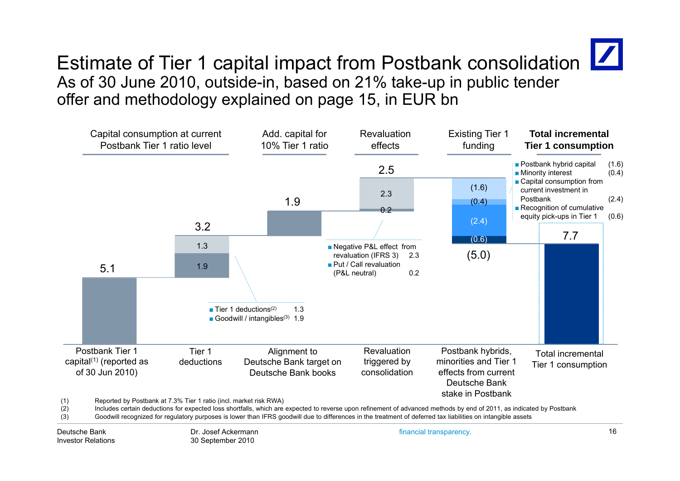

# Estimate of Tier 1 capital impact from Postbank consolidation  $\boxed{\phantom{a}}$ As of 30 June 2010, outside-in, based on 21% take-up in public tender offer and methodology explained on page 15, in EUR bn



(3) Goodwill recognized for regulatory purposes is lower than IFRS goodwill due to differences in the treatment of deferred tax liabilities on intangible assets

Deutsche BankInvestor Relations financial transparency. 16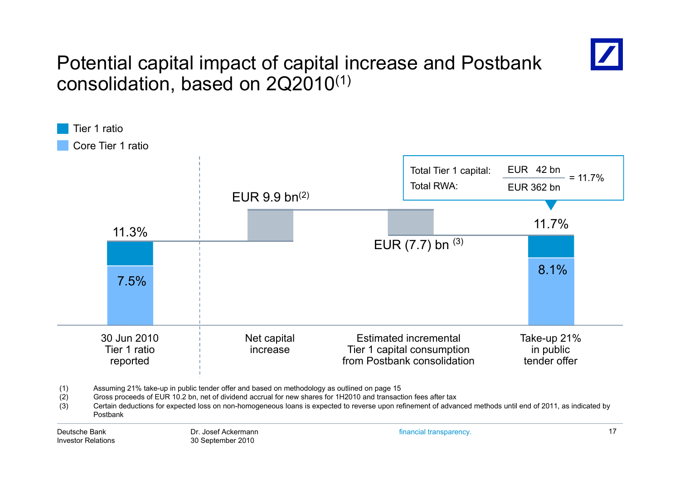

# Potential capital impact of capital increase and Postbank consolidation, based on 2Q2010 $^{\left(1\right)}$

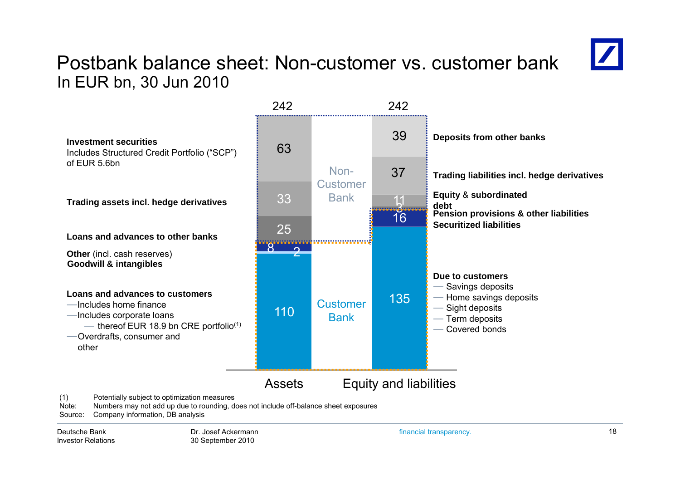### Postbank balance sheet: Non-customer vs. customer bankIn EUR bn, 30 Jun 2010



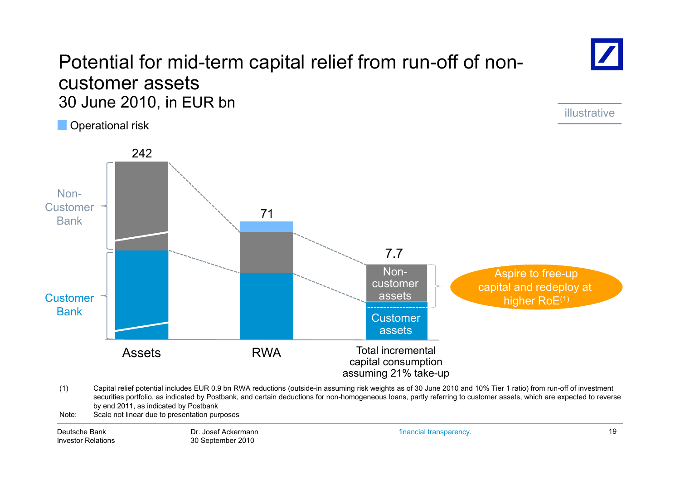### Potential for mid-term capital relief from run-off of noncustomer assets 30 June 2010, in EUR bn

O perational risk



(1) Capital relief potential includes EUR 0.9 bn RWA reductions (outside-in assuming risk weights as of 30 June 2010 and 10% Tier 1 ratio) from run-off of investment securities portfolio, as indicated by Postbank, and certain deductions for non-homogeneous loans, partly referring to customer assets, which are expected to reverse by end 2011, as indicated by Postbank

Note: Scale not linear due to presentation purposes

Deutsche BankInvestor Relations financial transparency. 19

illustrative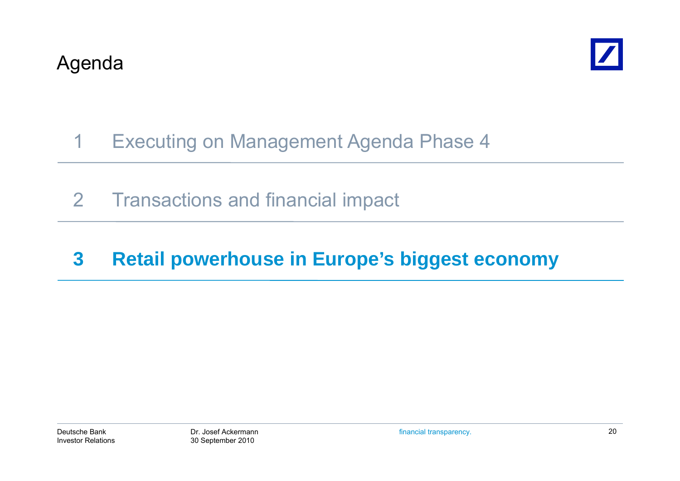

# 1 Executing on Management Agenda Phase 4

2 Transactions and financial impact

# **3 Retail powerhouse in Europe's biggest economy**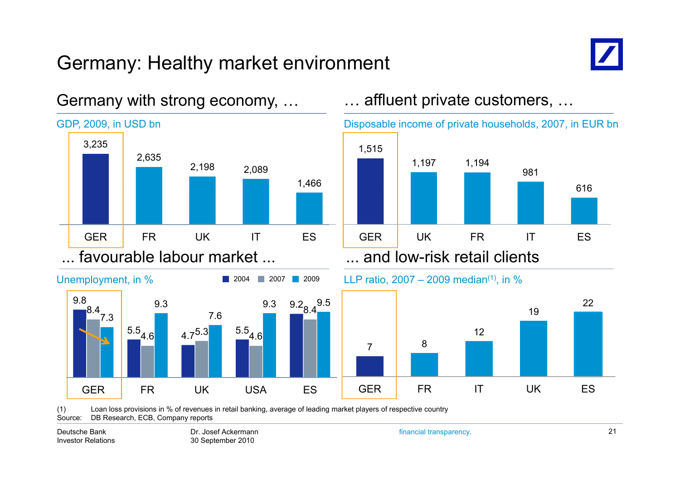# Germany: Healthy market environment



616

22

981

19



#### Germany with strong economy, …

(1) Loan loss provisions in % of revenues in retail banking, average of leading market players of respective country Source: DB Research, ECB, Company reports

Deutsche BankInvestor Relations

Dr. Josef Ackermann30 September 2010

financial transparency. 21

12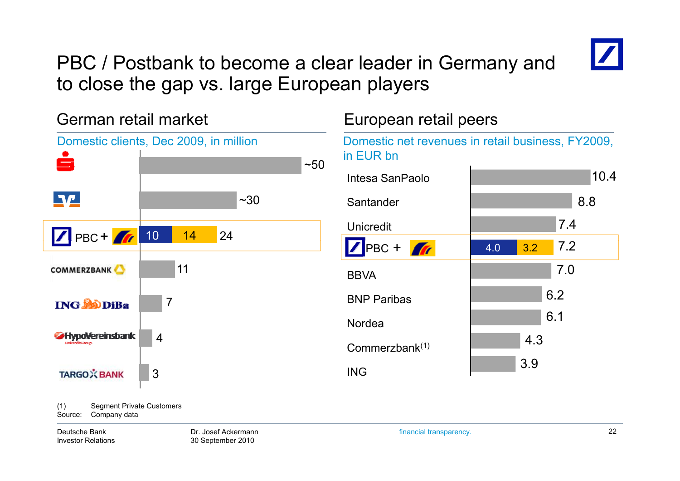

# PBC / Postbank to become a clear leader in Germany and to close the gap vs. large European players

German retail market European retail peers Domestic clients, Dec 2009, in million Domestic net revenues in retail business, FY2009, in EUR bnيصا  $~50$  10.4 Intesa SanPaolo $\P\Psi$  $~1.30$ Santanderr 18.8 7.4Unicredit10 14 24PBC + 7.2PBC + **1** 4.0 3.2 117.0**COMMERZBANK BBVA** 6 26.2NordeaBNP Paribas7**ING SODIBa** 6.1**SHypoVereinsbank** 4<br>Commerzbank<sup>(1)</sup> 4.33.9ING**TARGO** X BANK 3

(1) Segment Private Customers Source: Company data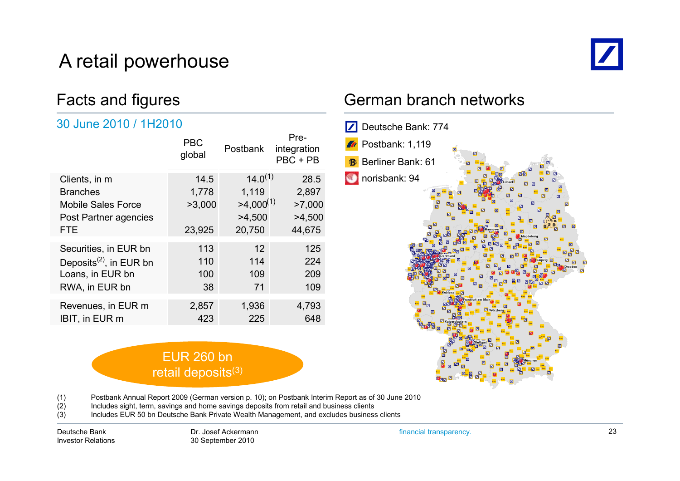# A retail powerhouse



### Facts and figures

#### 30 June 2010 / 1H2010

|                                     | <b>PBC</b><br>global | <b>Postbank</b> | Pre-<br>integration<br>PBC + PB |
|-------------------------------------|----------------------|-----------------|---------------------------------|
| Clients, in m                       | 14.5                 | $14.0^{(1)}$    | 28.5                            |
| <b>Branches</b>                     | 1,778                | 1,119           | 2,897                           |
| <b>Mobile Sales Force</b>           | >3,000               | $>4,000^{(1)}$  | >7,000                          |
| Post Partner agencies               |                      | >4,500          | >4,500                          |
| <b>FTE</b>                          | 23,925               | 20,750          | 44,675                          |
| Securities, in EUR bn               | 113                  | 12              | 125                             |
| Deposits <sup>(2)</sup> , in EUR bn | 110                  | 114             | 224                             |
| Loans, in EUR bn                    | 100                  | 109             | 209                             |
| RWA, in EUR bn                      | 38                   | 71              | 109                             |
| Revenues, in EUR m                  | 2,857                | 1,936           | 4,793                           |
|                                     |                      |                 |                                 |
| IBIT, in EUR m                      | 423                  | 225             | 648                             |

#### German branch networks



(1) Postbank Annual Report 2009 (German version p. 10); on Postbank Interim Report as of 30 June 2010

(2) Includes sight, term, savings and home savings deposits from retail and business clients

EUR 260 bn retail deposits<sup>(3)</sup>

(3) Includes EUR 50 bn Deutsche Bank Private Wealth Management, and excludes business clients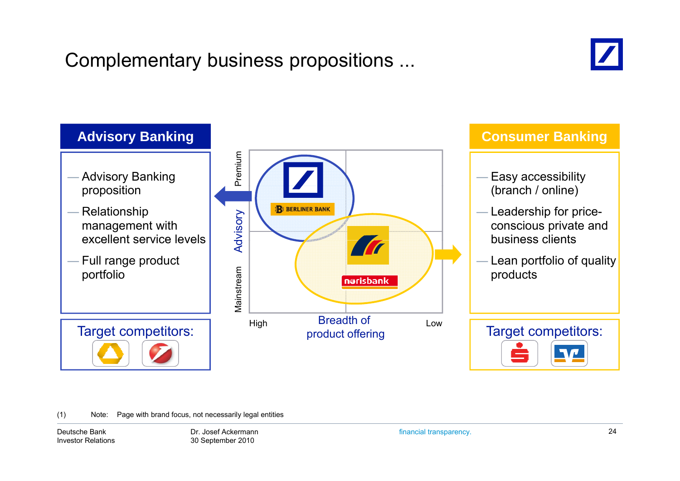# Complementary business propositions ...





(1) Note: Page with brand focus, not necessarily legal entities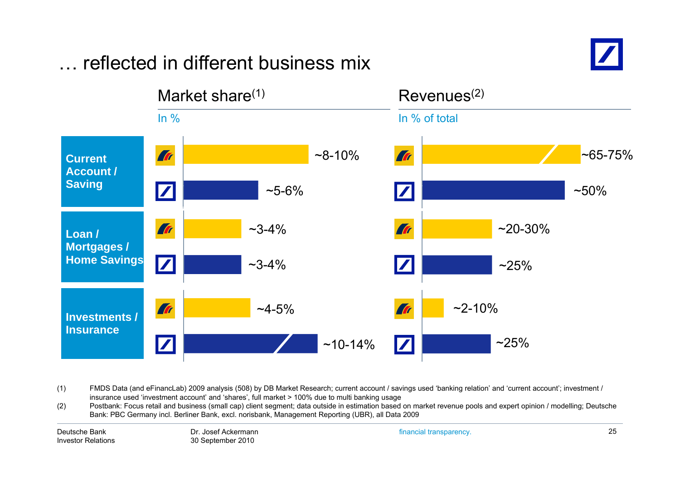#### Market share $(1)$  Revenues $(2)$ In % In % of total **Tr**  $~8 - 10%$ Tr  $~85 - 75%$ **Current Account /Saving**  $\boldsymbol{Z}$  $~50\%$  $\sim$ 5-6%  $\boldsymbol{Z}$ **Tr**  $~20 - 30%$ **Tr**  $~23 - 4\%$ **Loan / Mortgages / Home Savings** ~3-4% $~25\%$ **Tr**  $~2 - 10%$  $~14 - 5\%$ **Art Investments / Insurance** $\overline{\mathbf{Z}}$  $~25\%$  $\boldsymbol{Z}$ ~10-14%

… reflected in different business mix

(1) FMDS Data (and eFinancLab) 2009 analysis (508) by DB Market Research; current account / savings used 'banking relation' and 'current account'; investment / insurance used 'investment account' and 'shares', full market > 100% due to multi banking usage

(2) Postbank: Focus retail and business (small cap) client segment; data outside in estimation based on market revenue pools and expert opinion / modelling; Deutsche  $(2)$ Bank: PBC Germany incl. Berliner Bank, excl. norisbank, Management Reporting (UBR), all Data 2009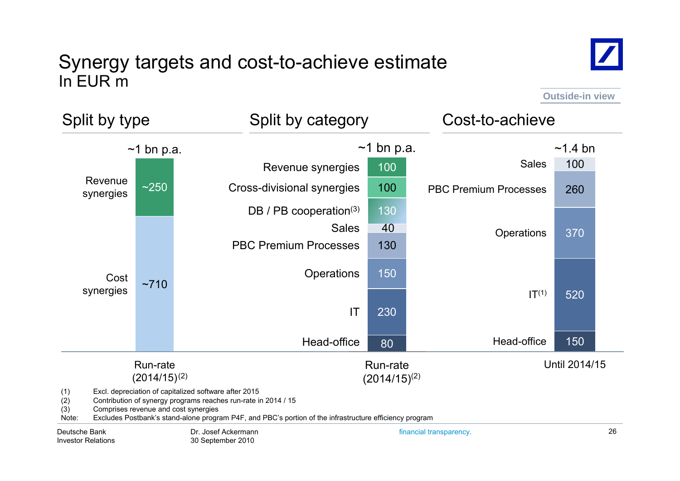### Synergy targets and cost-to-achieve estimate In EUR m



**Outside-in view**



Deutsche BankInvestor Relations financial transparency. 26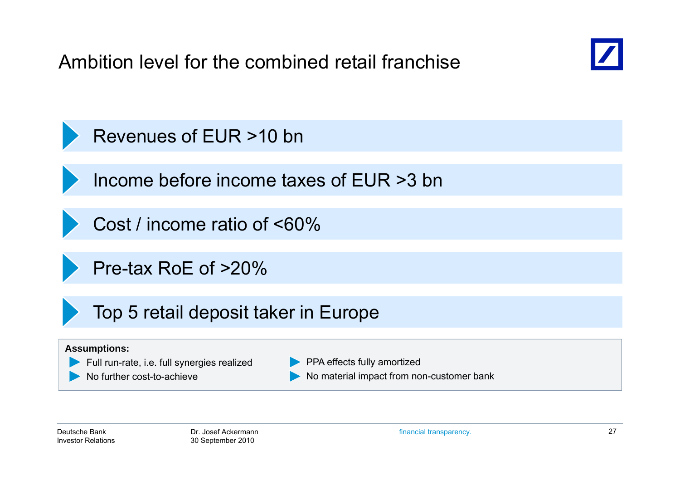Ambition level for the combined retail franchise



Revenues of EUR >10 bn

Income before income taxes of EUR >3 bn

Cost / income ratio of <60%

Pre-tax RoE of >20%

Top 5 retail deposit taker in Europe

#### **Assumptions:**



No further cost-to-achieve

**PPA effects fully amortized** No material impact from non-customer bank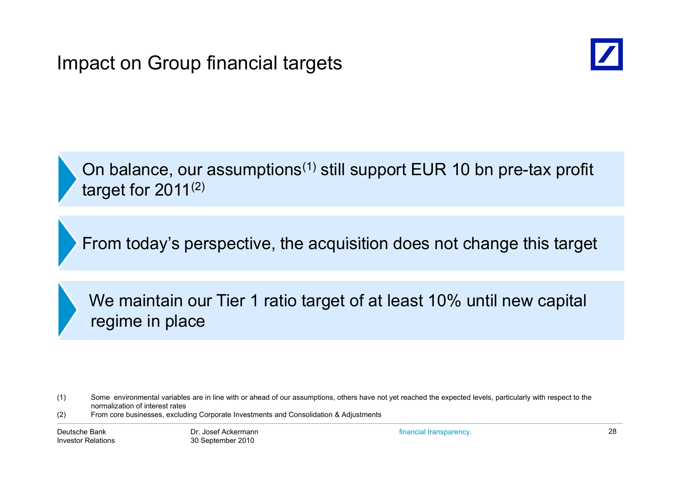

On balance, our assumptions<sup>(1)</sup> still support EUR 10 bn pre-tax profit target for 2011 $^{(2)}$ 

From today's perspective, the acquisition does not change this target

We maintain our Tier 1 ratio target of at least 10% until new capital regime in place

(2) From core businesses, excluding Corporate Investments and Consolidation & Adjustments

<sup>(1)</sup> Some environmental variables are in line with or ahead of our assumptions, others have not yet reached the expected levels, particularly with respect to the normalization of interest rates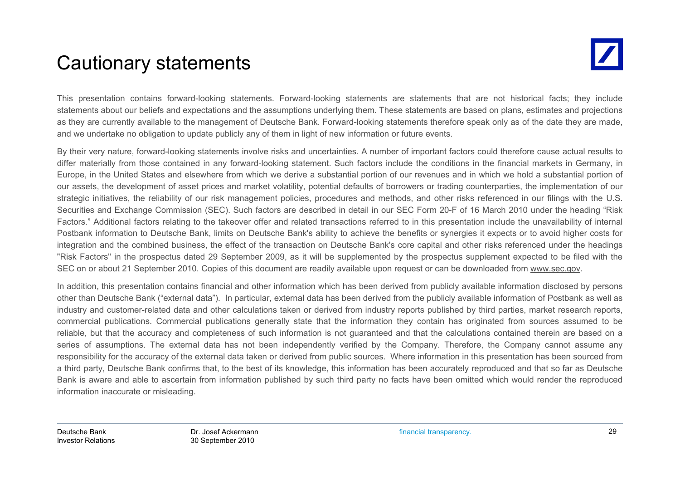# Cautionary statements

This presentation contains forward-looking statements. Forward-looking statements are statements that are not historical facts; they include statements about our beliefs and expectations and the assumptions underlying them. These statements are based on plans, estimates and projections as they are currently available to the management of Deutsche Bank. Forward-looking statements therefore speak only as of the date they are made, and we undertake no obligation to update publicly any of them in light of new information or future events.

By their very nature, forward-looking statements involve risks and uncertainties. A number of important factors could therefore cause actual results to differ materially from those contained in any forward-looking statement. Such factors include the conditions in the financial markets in Germany, in Europe, in the United States and elsewhere from which we derive <sup>a</sup> substantial portion of our revenues and in which we hold <sup>a</sup> substantial portion of our assets, the development of asset prices and market volatility, potential defaults of borrowers or trading counterparties, the implementation of our strategic initiatives, the reliability of our risk management policies, procedures and methods, and other risks referenced in our filings with the U.S. Securities and Exchange Commission (SEC). Such factors are described in detail in our SEC Form 20-F of 16 March 2010 under the heading "Risk Factors." Additional factors relating to the takeover offer and related transactions referred to in this presentation include the unavailability of internal Postbank information to Deutsche Bank, limits on Deutsche Bank's ability to achieve the benefits or synergies it expects or to avoid higher costs for integration and the combined business, the effect of the transaction on Deutsche Bank's core capital and other risks referenced under the headings "Risk Factors" in the prospectus dated 29 September 2009, as it will be supplemented by the prospectus supplement expected to be filed with the SEC on or about 21 September 2010. Copies of this document are readily available upon request or can be downloaded from www.sec.gov.

In addition, this presentation contains financial and other information which has been derived from publicly available information disclosed by persons other than Deutsche Bank ("external data"). In particular, external data has been derived from the publicly available information of Postbank as well as industry and customer-related data and other calculations taken or derived from industry reports published by third parties, market research reports, commercial publications. Commercial publications generally state that the information they contain has originated from sources assumed to be reliable, but that the accuracy and completeness of such information is not guaranteed and that the calculations contained therein are based on <sup>a</sup> series of assumptions. The external data has not been independently verified by the Company. Therefore, the Company cannot assume any responsibility for the accuracy of the external data taken or derived from public sources. Where information in this presentation has been sourced from <sup>a</sup> third party, Deutsche Bank confirms that, to the best of its knowledge, this information has been accurately reproduced and that so far as Deutsche Bank is aware and able to ascertain from information published by such third party no facts have been omitted which would render the reproduced information inaccurate or misleading.